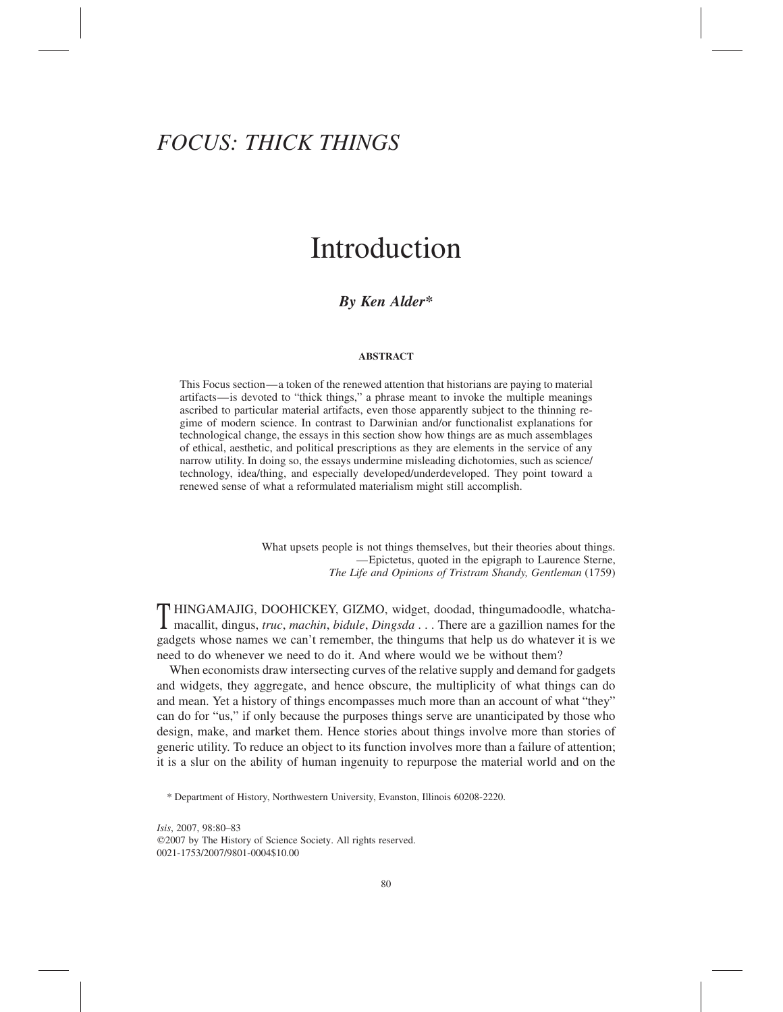# *FOCUS: THICK THINGS*

# Introduction

## *By Ken Alder\**

### **ABSTRACT**

This Focus section—a token of the renewed attention that historians are paying to material artifacts—is devoted to "thick things," a phrase meant to invoke the multiple meanings ascribed to particular material artifacts, even those apparently subject to the thinning regime of modern science. In contrast to Darwinian and/or functionalist explanations for technological change, the essays in this section show how things are as much assemblages of ethical, aesthetic, and political prescriptions as they are elements in the service of any narrow utility. In doing so, the essays undermine misleading dichotomies, such as science/ technology, idea/thing, and especially developed/underdeveloped. They point toward a renewed sense of what a reformulated materialism might still accomplish.

> What upsets people is not things themselves, but their theories about things. —Epictetus, quoted in the epigraph to Laurence Sterne, *The Life and Opinions of Tristram Shandy, Gentleman* (1759)

T HINGAMAJIG, DOOHICKEY, GIZMO, widget, doodad, thingumadoodle, whatcha-macallit, dingus, *truc*, *machin*, *bidule*, *Dingsda* . . . There are a gazillion names for the gadgets whose names we can't remember, the thingums that help us do whatever it is we need to do whenever we need to do it. And where would we be without them?

When economists draw intersecting curves of the relative supply and demand for gadgets and widgets, they aggregate, and hence obscure, the multiplicity of what things can do and mean. Yet a history of things encompasses much more than an account of what "they" can do for "us," if only because the purposes things serve are unanticipated by those who design, make, and market them. Hence stories about things involve more than stories of generic utility. To reduce an object to its function involves more than a failure of attention; it is a slur on the ability of human ingenuity to repurpose the material world and on the

\* Department of History, Northwestern University, Evanston, Illinois 60208-2220.

*Isis*, 2007, 98:80–83 2007 by The History of Science Society. All rights reserved. 0021-1753/2007/9801-0004\$10.00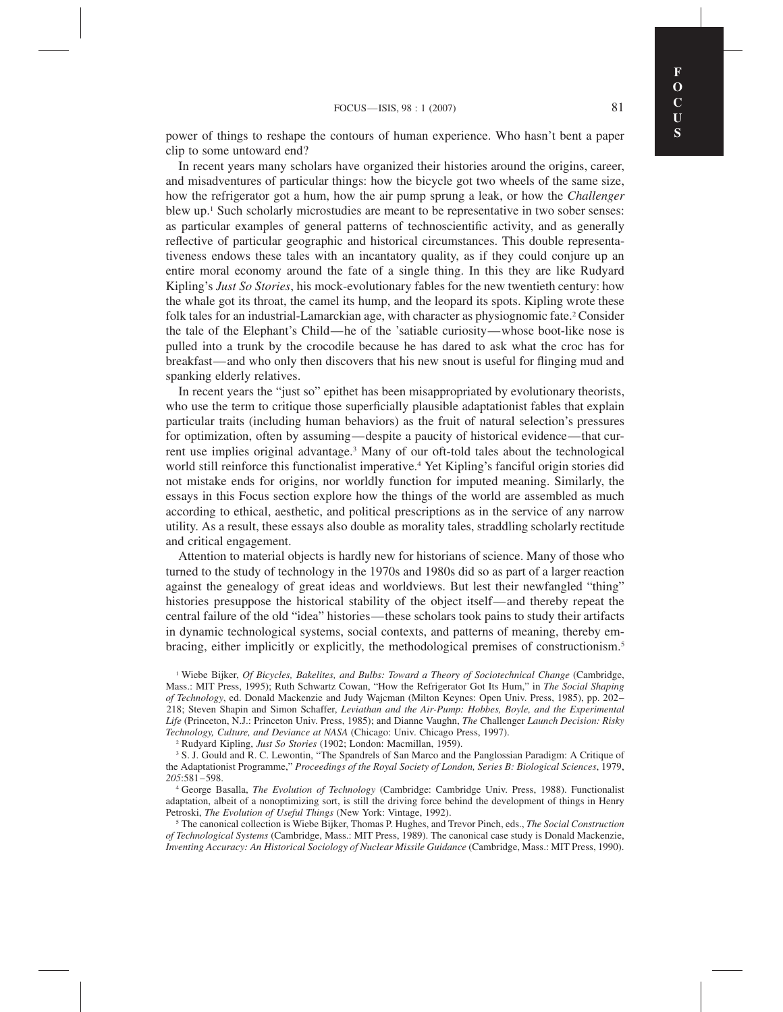power of things to reshape the contours of human experience. Who hasn't bent a paper **S** clip to some untoward end?

In recent years many scholars have organized their histories around the origins, career, and misadventures of particular things: how the bicycle got two wheels of the same size, how the refrigerator got a hum, how the air pump sprung a leak, or how the *Challenger* blew up.1 Such scholarly microstudies are meant to be representative in two sober senses: as particular examples of general patterns of technoscientific activity, and as generally reflective of particular geographic and historical circumstances. This double representativeness endows these tales with an incantatory quality, as if they could conjure up an entire moral economy around the fate of a single thing. In this they are like Rudyard Kipling's *Just So Stories*, his mock-evolutionary fables for the new twentieth century: how the whale got its throat, the camel its hump, and the leopard its spots. Kipling wrote these folk tales for an industrial-Lamarckian age, with character as physiognomic fate.2 Consider the tale of the Elephant's Child—he of the 'satiable curiosity—whose boot-like nose is pulled into a trunk by the crocodile because he has dared to ask what the croc has for breakfast—and who only then discovers that his new snout is useful for flinging mud and spanking elderly relatives.

In recent years the "just so" epithet has been misappropriated by evolutionary theorists, who use the term to critique those superficially plausible adaptationist fables that explain particular traits (including human behaviors) as the fruit of natural selection's pressures for optimization, often by assuming—despite a paucity of historical evidence—that current use implies original advantage.3 Many of our oft-told tales about the technological world still reinforce this functionalist imperative.4 Yet Kipling's fanciful origin stories did not mistake ends for origins, nor worldly function for imputed meaning. Similarly, the essays in this Focus section explore how the things of the world are assembled as much according to ethical, aesthetic, and political prescriptions as in the service of any narrow utility. As a result, these essays also double as morality tales, straddling scholarly rectitude and critical engagement.

Attention to material objects is hardly new for historians of science. Many of those who turned to the study of technology in the 1970s and 1980s did so as part of a larger reaction against the genealogy of great ideas and worldviews. But lest their newfangled "thing" histories presuppose the historical stability of the object itself—and thereby repeat the central failure of the old "idea" histories—these scholars took pains to study their artifacts in dynamic technological systems, social contexts, and patterns of meaning, thereby embracing, either implicitly or explicitly, the methodological premises of constructionism.5

<sup>2</sup> Rudyard Kipling, *Just So Stories* (1902; London: Macmillan, 1959).

<sup>4</sup> George Basalla, *The Evolution of Technology* (Cambridge: Cambridge Univ. Press, 1988). Functionalist adaptation, albeit of a nonoptimizing sort, is still the driving force behind the development of things in Henry Petroski, *The Evolution of Useful Things* (New York: Vintage, 1992).

<sup>5</sup> The canonical collection is Wiebe Bijker, Thomas P. Hughes, and Trevor Pinch, eds., *The Social Construction of Technological Systems* (Cambridge, Mass.: MIT Press, 1989). The canonical case study is Donald Mackenzie, *Inventing Accuracy: An Historical Sociology of Nuclear Missile Guidance* (Cambridge, Mass.: MIT Press, 1990).

<sup>1</sup> Wiebe Bijker, *Of Bicycles, Bakelites, and Bulbs: Toward a Theory of Sociotechnical Change* (Cambridge, Mass.: MIT Press, 1995); Ruth Schwartz Cowan, "How the Refrigerator Got Its Hum," in *The Social Shaping of Technology*, ed. Donald Mackenzie and Judy Wajcman (Milton Keynes: Open Univ. Press, 1985), pp. 202– 218; Steven Shapin and Simon Schaffer, *Leviathan and the Air-Pump: Hobbes, Boyle, and the Experimental Life* (Princeton, N.J.: Princeton Univ. Press, 1985); and Dianne Vaughn, *The* Challenger *Launch Decision: Risky Technology, Culture, and Deviance at NASA* (Chicago: Univ. Chicago Press, 1997).

<sup>&</sup>lt;sup>3</sup> S. J. Gould and R. C. Lewontin, "The Spandrels of San Marco and the Panglossian Paradigm: A Critique of the Adaptationist Programme," *Proceedings of the Royal Society of London, Series B: Biological Sciences*, 1979, *205*:581–598.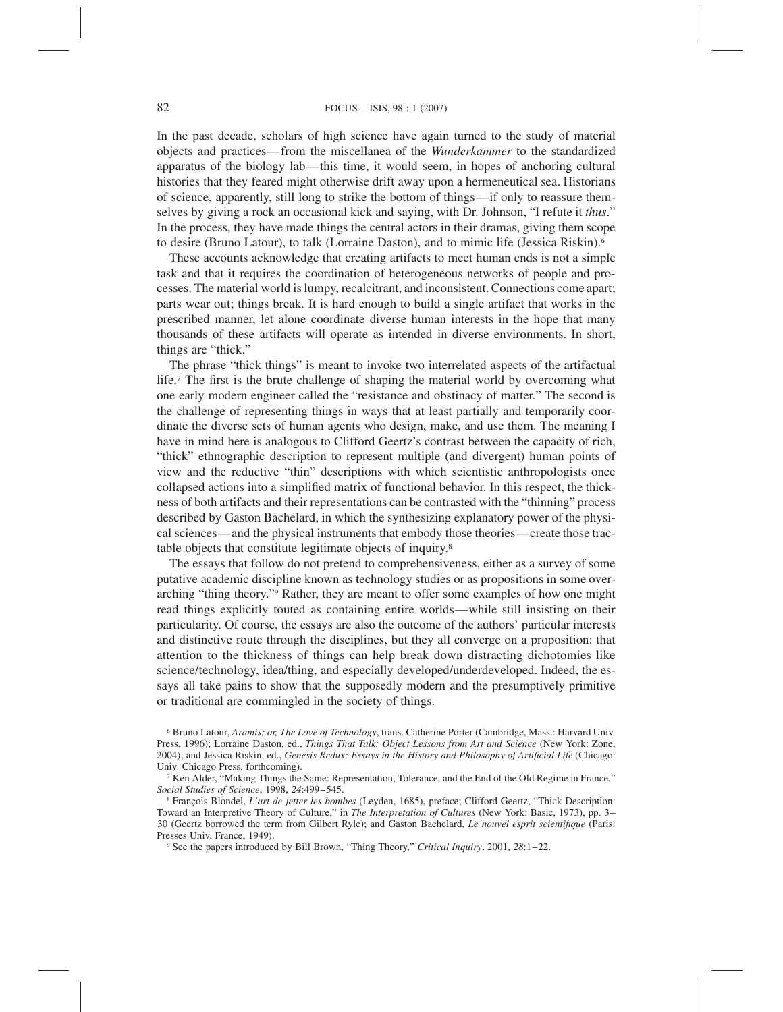In the past decade, scholars of high science have again turned to the study of material objects and practices—from the miscellanea of the *Wunderkammer* to the standardized apparatus of the biology lab—this time, it would seem, in hopes of anchoring cultural histories that they feared might otherwise drift away upon a hermeneutical sea. Historians of science, apparently, still long to strike the bottom of things—if only to reassure themselves by giving a rock an occasional kick and saying, with Dr. Johnson, "I refute it *thus*." In the process, they have made things the central actors in their dramas, giving them scope to desire (Bruno Latour), to talk (Lorraine Daston), and to mimic life (Jessica Riskin).6

These accounts acknowledge that creating artifacts to meet human ends is not a simple task and that it requires the coordination of heterogeneous networks of people and processes. The material world is lumpy, recalcitrant, and inconsistent. Connections come apart; parts wear out; things break. It is hard enough to build a single artifact that works in the prescribed manner, let alone coordinate diverse human interests in the hope that many thousands of these artifacts will operate as intended in diverse environments. In short, things are "thick."

The phrase "thick things" is meant to invoke two interrelated aspects of the artifactual life.7 The first is the brute challenge of shaping the material world by overcoming what one early modern engineer called the "resistance and obstinacy of matter." The second is the challenge of representing things in ways that at least partially and temporarily coordinate the diverse sets of human agents who design, make, and use them. The meaning I have in mind here is analogous to Clifford Geertz's contrast between the capacity of rich, "thick" ethnographic description to represent multiple (and divergent) human points of view and the reductive "thin" descriptions with which scientistic anthropologists once collapsed actions into a simplified matrix of functional behavior. In this respect, the thickness of both artifacts and their representations can be contrasted with the "thinning" process described by Gaston Bachelard, in which the synthesizing explanatory power of the physical sciences—and the physical instruments that embody those theories—create those tractable objects that constitute legitimate objects of inquiry.8

The essays that follow do not pretend to comprehensiveness, either as a survey of some putative academic discipline known as technology studies or as propositions in some overarching "thing theory."9 Rather, they are meant to offer some examples of how one might read things explicitly touted as containing entire worlds—while still insisting on their particularity. Of course, the essays are also the outcome of the authors' particular interests and distinctive route through the disciplines, but they all converge on a proposition: that attention to the thickness of things can help break down distracting dichotomies like science/technology, idea/thing, and especially developed/underdeveloped. Indeed, the essays all take pains to show that the supposedly modern and the presumptively primitive or traditional are commingled in the society of things.

<sup>6</sup> Bruno Latour, *Aramis; or, The Love of Technology*, trans. Catherine Porter (Cambridge, Mass.: Harvard Univ. Press, 1996); Lorraine Daston, ed., *Things That Talk: Object Lessons from Art and Science* (New York: Zone, 2004); and Jessica Riskin, ed., *Genesis Redux: Essays in the History and Philosophy of Artificial Life* (Chicago: Univ. Chicago Press, forthcoming).

<sup>7</sup> Ken Alder, "Making Things the Same: Representation, Tolerance, and the End of the Old Regime in France," *Social Studies of Science*, 1998, *24*:499–545.

<sup>&</sup>lt;sup>8</sup> François Blondel, *L'art de jetter les bombes* (Leyden, 1685), preface; Clifford Geertz, "Thick Description: Toward an Interpretive Theory of Culture," in *The Interpretation of Cultures* (New York: Basic, 1973), pp. 3– 30 (Geertz borrowed the term from Gilbert Ryle); and Gaston Bachelard, *Le nouvel esprit scientifique* (Paris: Presses Univ. France, 1949).

<sup>9</sup> See the papers introduced by Bill Brown, "Thing Theory," *Critical Inquiry*, 2001, *28*:1–22.